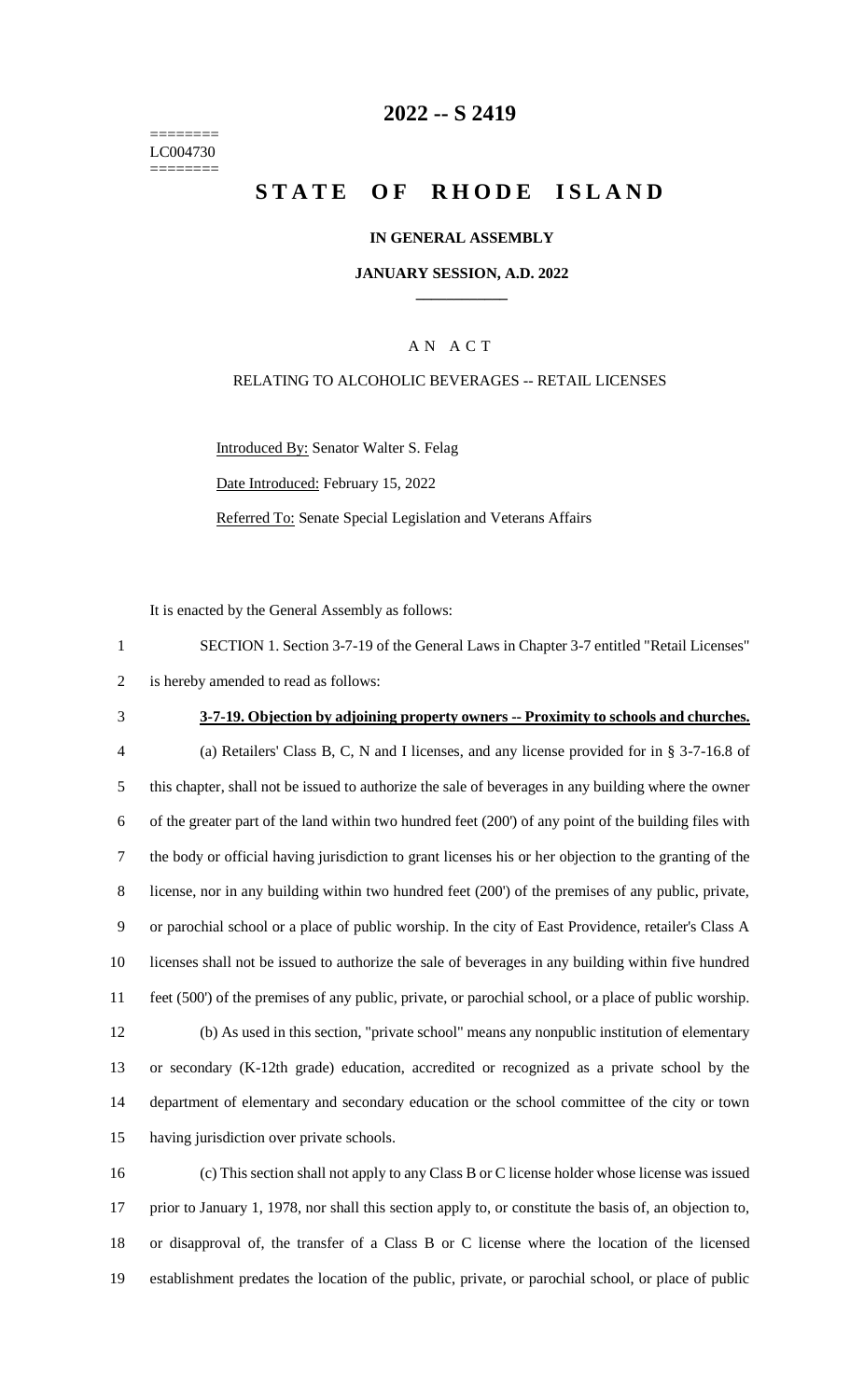======== LC004730 ========

### **-- S 2419**

# **STATE OF RHODE ISLAND**

#### **IN GENERAL ASSEMBLY**

#### **JANUARY SESSION, A.D. 2022 \_\_\_\_\_\_\_\_\_\_\_\_**

### A N A C T

#### RELATING TO ALCOHOLIC BEVERAGES -- RETAIL LICENSES

Introduced By: Senator Walter S. Felag

Date Introduced: February 15, 2022

Referred To: Senate Special Legislation and Veterans Affairs

It is enacted by the General Assembly as follows:

| SECTION 1. Section 3-7-19 of the General Laws in Chapter 3-7 entitled "Retail Licenses" |
|-----------------------------------------------------------------------------------------|
| 2 is hereby amended to read as follows:                                                 |

### **3-7-19. Objection by adjoining property owners -- Proximity to schools and churches.**

 (a) Retailers' Class B, C, N and I licenses, and any license provided for in § 3-7-16.8 of this chapter, shall not be issued to authorize the sale of beverages in any building where the owner of the greater part of the land within two hundred feet (200') of any point of the building files with the body or official having jurisdiction to grant licenses his or her objection to the granting of the license, nor in any building within two hundred feet (200') of the premises of any public, private, or parochial school or a place of public worship. In the city of East Providence, retailer's Class A licenses shall not be issued to authorize the sale of beverages in any building within five hundred feet (500') of the premises of any public, private, or parochial school, or a place of public worship. (b) As used in this section, "private school" means any nonpublic institution of elementary or secondary (K-12th grade) education, accredited or recognized as a private school by the department of elementary and secondary education or the school committee of the city or town having jurisdiction over private schools.

 (c) This section shall not apply to any Class B or C license holder whose license was issued prior to January 1, 1978, nor shall this section apply to, or constitute the basis of, an objection to, or disapproval of, the transfer of a Class B or C license where the location of the licensed establishment predates the location of the public, private, or parochial school, or place of public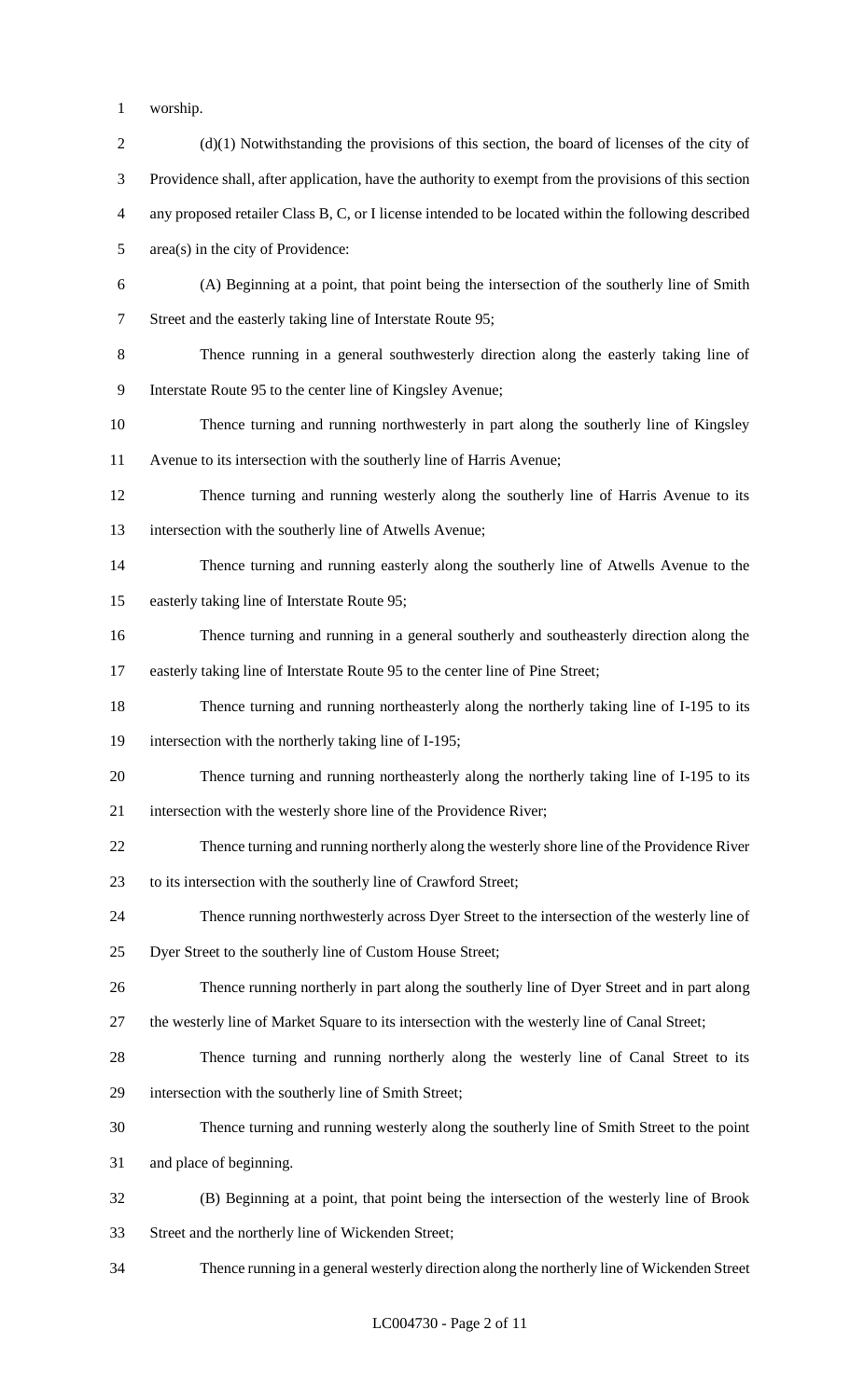- worship.
- 2 (d)(1) Notwithstanding the provisions of this section, the board of licenses of the city of Providence shall, after application, have the authority to exempt from the provisions of this section any proposed retailer Class B, C, or I license intended to be located within the following described area(s) in the city of Providence: (A) Beginning at a point, that point being the intersection of the southerly line of Smith Street and the easterly taking line of Interstate Route 95; Thence running in a general southwesterly direction along the easterly taking line of Interstate Route 95 to the center line of Kingsley Avenue; Thence turning and running northwesterly in part along the southerly line of Kingsley Avenue to its intersection with the southerly line of Harris Avenue; Thence turning and running westerly along the southerly line of Harris Avenue to its intersection with the southerly line of Atwells Avenue; Thence turning and running easterly along the southerly line of Atwells Avenue to the easterly taking line of Interstate Route 95; Thence turning and running in a general southerly and southeasterly direction along the easterly taking line of Interstate Route 95 to the center line of Pine Street; Thence turning and running northeasterly along the northerly taking line of I-195 to its intersection with the northerly taking line of I-195; Thence turning and running northeasterly along the northerly taking line of I-195 to its intersection with the westerly shore line of the Providence River; Thence turning and running northerly along the westerly shore line of the Providence River to its intersection with the southerly line of Crawford Street; Thence running northwesterly across Dyer Street to the intersection of the westerly line of Dyer Street to the southerly line of Custom House Street; Thence running northerly in part along the southerly line of Dyer Street and in part along the westerly line of Market Square to its intersection with the westerly line of Canal Street; Thence turning and running northerly along the westerly line of Canal Street to its intersection with the southerly line of Smith Street; Thence turning and running westerly along the southerly line of Smith Street to the point and place of beginning. (B) Beginning at a point, that point being the intersection of the westerly line of Brook Street and the northerly line of Wickenden Street; Thence running in a general westerly direction along the northerly line of Wickenden Street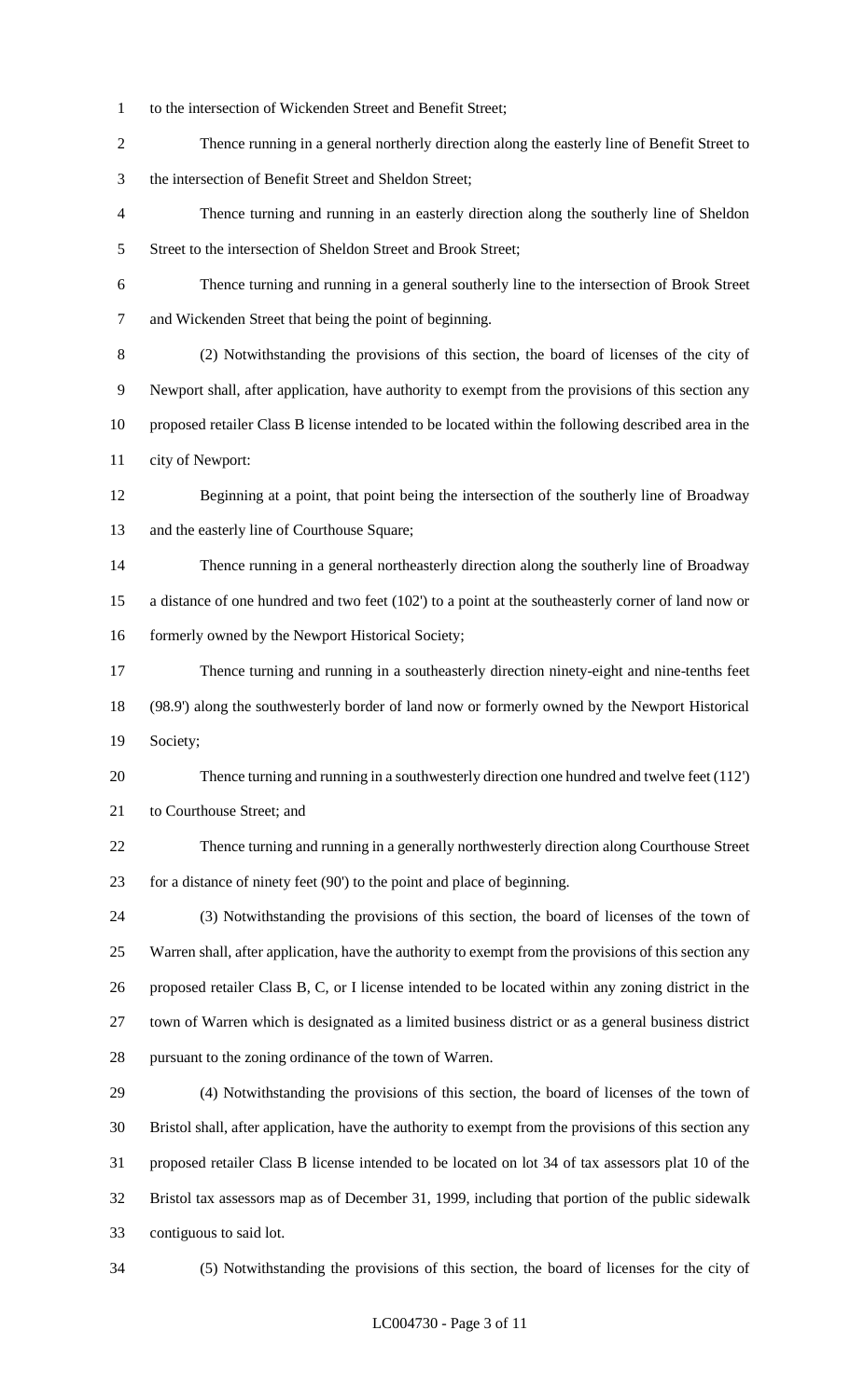- to the intersection of Wickenden Street and Benefit Street;
- Thence running in a general northerly direction along the easterly line of Benefit Street to the intersection of Benefit Street and Sheldon Street;
- Thence turning and running in an easterly direction along the southerly line of Sheldon 5 Street to the intersection of Sheldon Street and Brook Street;
- Thence turning and running in a general southerly line to the intersection of Brook Street and Wickenden Street that being the point of beginning.
- (2) Notwithstanding the provisions of this section, the board of licenses of the city of Newport shall, after application, have authority to exempt from the provisions of this section any proposed retailer Class B license intended to be located within the following described area in the city of Newport:
- Beginning at a point, that point being the intersection of the southerly line of Broadway and the easterly line of Courthouse Square;
- Thence running in a general northeasterly direction along the southerly line of Broadway a distance of one hundred and two feet (102') to a point at the southeasterly corner of land now or 16 formerly owned by the Newport Historical Society;
- Thence turning and running in a southeasterly direction ninety-eight and nine-tenths feet (98.9') along the southwesterly border of land now or formerly owned by the Newport Historical Society;
- Thence turning and running in a southwesterly direction one hundred and twelve feet (112') to Courthouse Street; and
- Thence turning and running in a generally northwesterly direction along Courthouse Street for a distance of ninety feet (90') to the point and place of beginning.
- (3) Notwithstanding the provisions of this section, the board of licenses of the town of Warren shall, after application, have the authority to exempt from the provisions of this section any proposed retailer Class B, C, or I license intended to be located within any zoning district in the town of Warren which is designated as a limited business district or as a general business district pursuant to the zoning ordinance of the town of Warren.
- (4) Notwithstanding the provisions of this section, the board of licenses of the town of Bristol shall, after application, have the authority to exempt from the provisions of this section any proposed retailer Class B license intended to be located on lot 34 of tax assessors plat 10 of the Bristol tax assessors map as of December 31, 1999, including that portion of the public sidewalk contiguous to said lot.
- 

(5) Notwithstanding the provisions of this section, the board of licenses for the city of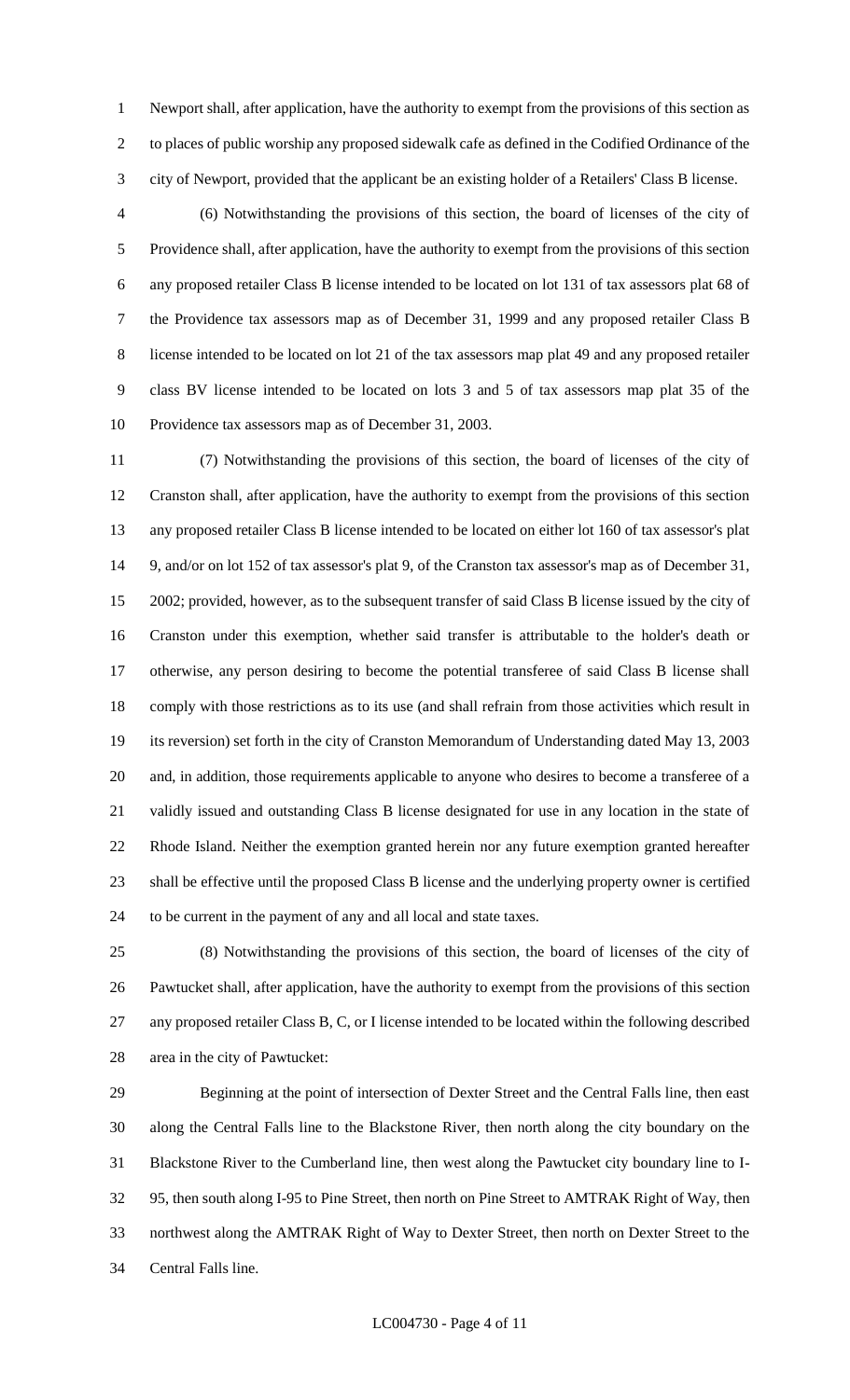Newport shall, after application, have the authority to exempt from the provisions of this section as to places of public worship any proposed sidewalk cafe as defined in the Codified Ordinance of the city of Newport, provided that the applicant be an existing holder of a Retailers' Class B license.

 (6) Notwithstanding the provisions of this section, the board of licenses of the city of Providence shall, after application, have the authority to exempt from the provisions of this section any proposed retailer Class B license intended to be located on lot 131 of tax assessors plat 68 of the Providence tax assessors map as of December 31, 1999 and any proposed retailer Class B license intended to be located on lot 21 of the tax assessors map plat 49 and any proposed retailer class BV license intended to be located on lots 3 and 5 of tax assessors map plat 35 of the Providence tax assessors map as of December 31, 2003.

 (7) Notwithstanding the provisions of this section, the board of licenses of the city of Cranston shall, after application, have the authority to exempt from the provisions of this section any proposed retailer Class B license intended to be located on either lot 160 of tax assessor's plat 9, and/or on lot 152 of tax assessor's plat 9, of the Cranston tax assessor's map as of December 31, 2002; provided, however, as to the subsequent transfer of said Class B license issued by the city of Cranston under this exemption, whether said transfer is attributable to the holder's death or otherwise, any person desiring to become the potential transferee of said Class B license shall comply with those restrictions as to its use (and shall refrain from those activities which result in its reversion) set forth in the city of Cranston Memorandum of Understanding dated May 13, 2003 and, in addition, those requirements applicable to anyone who desires to become a transferee of a validly issued and outstanding Class B license designated for use in any location in the state of Rhode Island. Neither the exemption granted herein nor any future exemption granted hereafter shall be effective until the proposed Class B license and the underlying property owner is certified to be current in the payment of any and all local and state taxes.

 (8) Notwithstanding the provisions of this section, the board of licenses of the city of Pawtucket shall, after application, have the authority to exempt from the provisions of this section any proposed retailer Class B, C, or I license intended to be located within the following described area in the city of Pawtucket:

 Beginning at the point of intersection of Dexter Street and the Central Falls line, then east along the Central Falls line to the Blackstone River, then north along the city boundary on the Blackstone River to the Cumberland line, then west along the Pawtucket city boundary line to I- 95, then south along I-95 to Pine Street, then north on Pine Street to AMTRAK Right of Way, then northwest along the AMTRAK Right of Way to Dexter Street, then north on Dexter Street to the Central Falls line.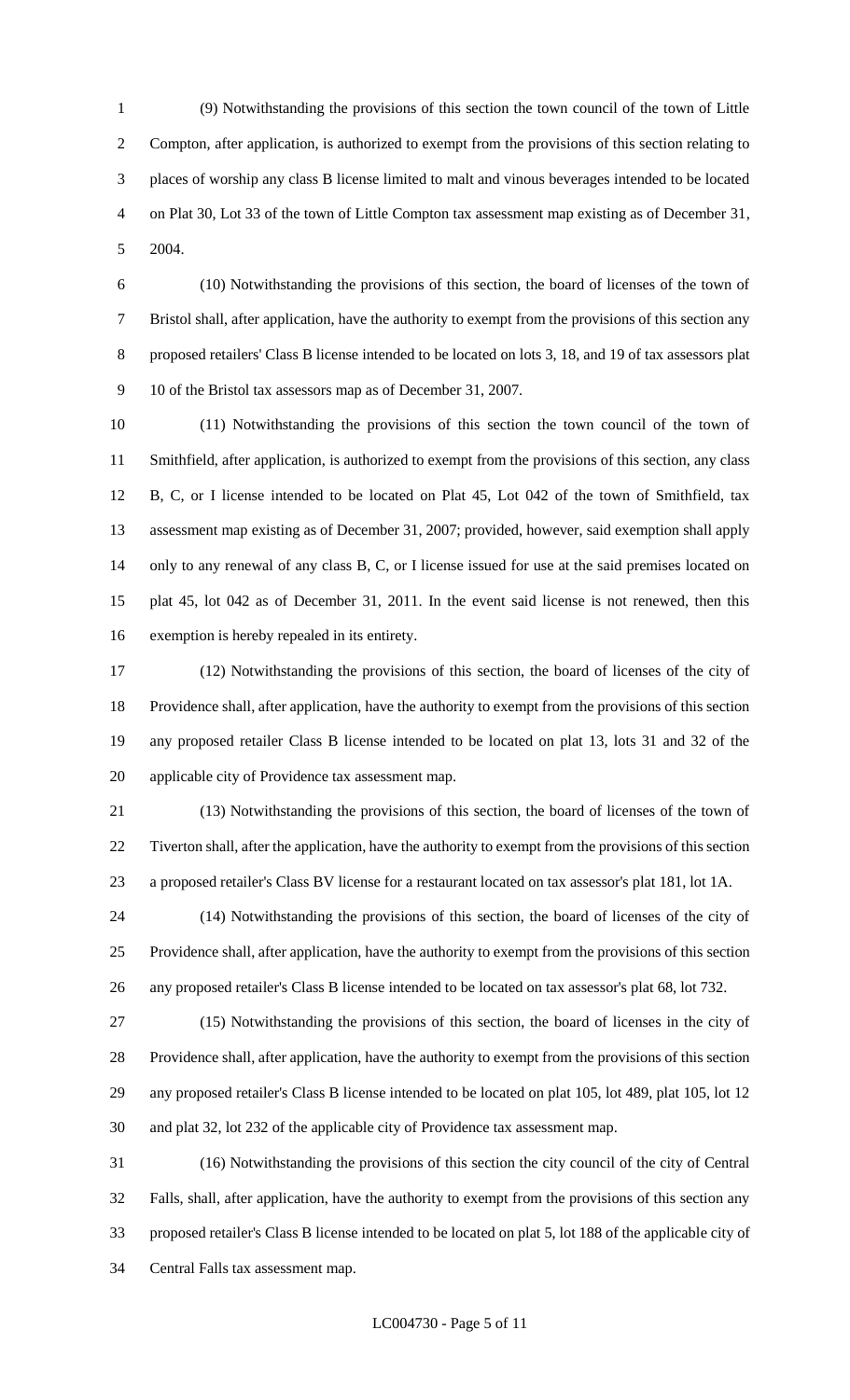(9) Notwithstanding the provisions of this section the town council of the town of Little Compton, after application, is authorized to exempt from the provisions of this section relating to places of worship any class B license limited to malt and vinous beverages intended to be located on Plat 30, Lot 33 of the town of Little Compton tax assessment map existing as of December 31, 2004.

 (10) Notwithstanding the provisions of this section, the board of licenses of the town of Bristol shall, after application, have the authority to exempt from the provisions of this section any proposed retailers' Class B license intended to be located on lots 3, 18, and 19 of tax assessors plat 10 of the Bristol tax assessors map as of December 31, 2007.

 (11) Notwithstanding the provisions of this section the town council of the town of Smithfield, after application, is authorized to exempt from the provisions of this section, any class B, C, or I license intended to be located on Plat 45, Lot 042 of the town of Smithfield, tax assessment map existing as of December 31, 2007; provided, however, said exemption shall apply only to any renewal of any class B, C, or I license issued for use at the said premises located on plat 45, lot 042 as of December 31, 2011. In the event said license is not renewed, then this exemption is hereby repealed in its entirety.

 (12) Notwithstanding the provisions of this section, the board of licenses of the city of Providence shall, after application, have the authority to exempt from the provisions of this section any proposed retailer Class B license intended to be located on plat 13, lots 31 and 32 of the applicable city of Providence tax assessment map.

 (13) Notwithstanding the provisions of this section, the board of licenses of the town of Tiverton shall, after the application, have the authority to exempt from the provisions of this section a proposed retailer's Class BV license for a restaurant located on tax assessor's plat 181, lot 1A.

 (14) Notwithstanding the provisions of this section, the board of licenses of the city of Providence shall, after application, have the authority to exempt from the provisions of this section any proposed retailer's Class B license intended to be located on tax assessor's plat 68, lot 732.

 (15) Notwithstanding the provisions of this section, the board of licenses in the city of Providence shall, after application, have the authority to exempt from the provisions of this section any proposed retailer's Class B license intended to be located on plat 105, lot 489, plat 105, lot 12 and plat 32, lot 232 of the applicable city of Providence tax assessment map.

 (16) Notwithstanding the provisions of this section the city council of the city of Central Falls, shall, after application, have the authority to exempt from the provisions of this section any proposed retailer's Class B license intended to be located on plat 5, lot 188 of the applicable city of Central Falls tax assessment map.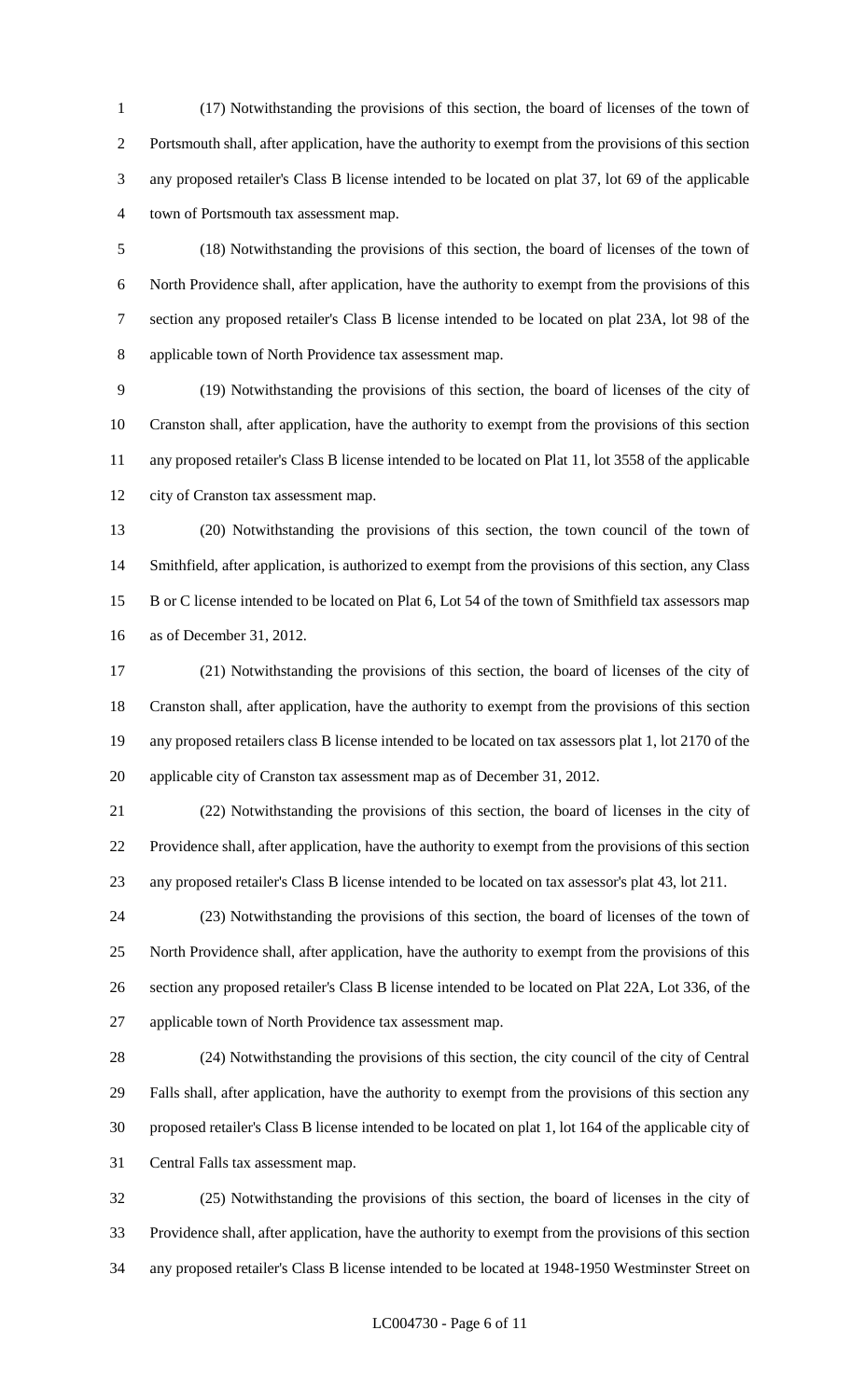(17) Notwithstanding the provisions of this section, the board of licenses of the town of Portsmouth shall, after application, have the authority to exempt from the provisions of this section any proposed retailer's Class B license intended to be located on plat 37, lot 69 of the applicable town of Portsmouth tax assessment map.

 (18) Notwithstanding the provisions of this section, the board of licenses of the town of North Providence shall, after application, have the authority to exempt from the provisions of this section any proposed retailer's Class B license intended to be located on plat 23A, lot 98 of the applicable town of North Providence tax assessment map.

 (19) Notwithstanding the provisions of this section, the board of licenses of the city of Cranston shall, after application, have the authority to exempt from the provisions of this section any proposed retailer's Class B license intended to be located on Plat 11, lot 3558 of the applicable city of Cranston tax assessment map.

 (20) Notwithstanding the provisions of this section, the town council of the town of Smithfield, after application, is authorized to exempt from the provisions of this section, any Class B or C license intended to be located on Plat 6, Lot 54 of the town of Smithfield tax assessors map as of December 31, 2012.

 (21) Notwithstanding the provisions of this section, the board of licenses of the city of Cranston shall, after application, have the authority to exempt from the provisions of this section any proposed retailers class B license intended to be located on tax assessors plat 1, lot 2170 of the applicable city of Cranston tax assessment map as of December 31, 2012.

 (22) Notwithstanding the provisions of this section, the board of licenses in the city of Providence shall, after application, have the authority to exempt from the provisions of this section any proposed retailer's Class B license intended to be located on tax assessor's plat 43, lot 211.

 (23) Notwithstanding the provisions of this section, the board of licenses of the town of North Providence shall, after application, have the authority to exempt from the provisions of this section any proposed retailer's Class B license intended to be located on Plat 22A, Lot 336, of the applicable town of North Providence tax assessment map.

 (24) Notwithstanding the provisions of this section, the city council of the city of Central Falls shall, after application, have the authority to exempt from the provisions of this section any proposed retailer's Class B license intended to be located on plat 1, lot 164 of the applicable city of Central Falls tax assessment map.

 (25) Notwithstanding the provisions of this section, the board of licenses in the city of Providence shall, after application, have the authority to exempt from the provisions of this section any proposed retailer's Class B license intended to be located at 1948-1950 Westminster Street on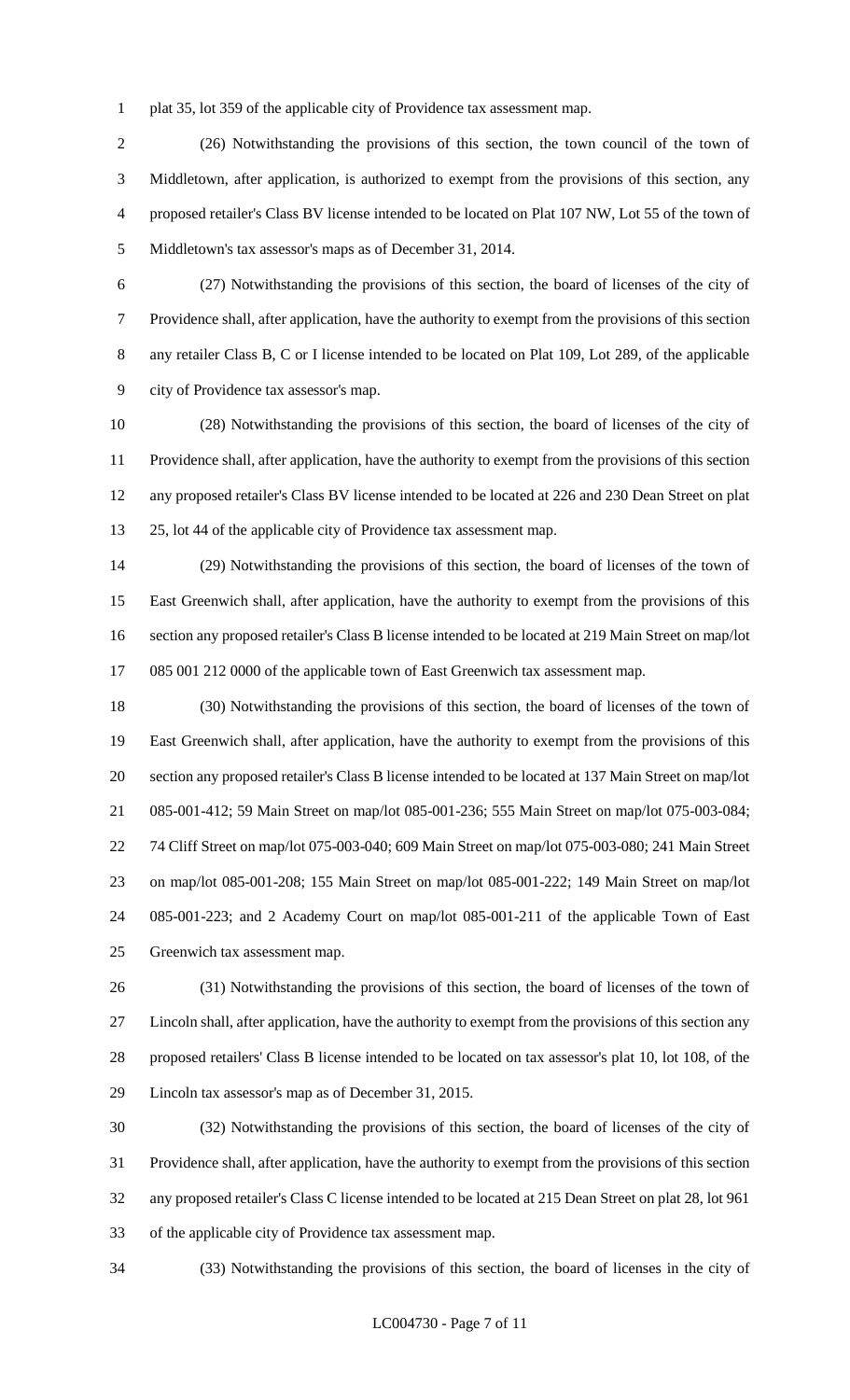plat 35, lot 359 of the applicable city of Providence tax assessment map.

 (26) Notwithstanding the provisions of this section, the town council of the town of Middletown, after application, is authorized to exempt from the provisions of this section, any proposed retailer's Class BV license intended to be located on Plat 107 NW, Lot 55 of the town of Middletown's tax assessor's maps as of December 31, 2014.

 (27) Notwithstanding the provisions of this section, the board of licenses of the city of Providence shall, after application, have the authority to exempt from the provisions of this section any retailer Class B, C or I license intended to be located on Plat 109, Lot 289, of the applicable city of Providence tax assessor's map.

 (28) Notwithstanding the provisions of this section, the board of licenses of the city of Providence shall, after application, have the authority to exempt from the provisions of this section any proposed retailer's Class BV license intended to be located at 226 and 230 Dean Street on plat 25, lot 44 of the applicable city of Providence tax assessment map.

 (29) Notwithstanding the provisions of this section, the board of licenses of the town of East Greenwich shall, after application, have the authority to exempt from the provisions of this section any proposed retailer's Class B license intended to be located at 219 Main Street on map/lot 085 001 212 0000 of the applicable town of East Greenwich tax assessment map.

 (30) Notwithstanding the provisions of this section, the board of licenses of the town of East Greenwich shall, after application, have the authority to exempt from the provisions of this section any proposed retailer's Class B license intended to be located at 137 Main Street on map/lot 085-001-412; 59 Main Street on map/lot 085-001-236; 555 Main Street on map/lot 075-003-084; 74 Cliff Street on map/lot 075-003-040; 609 Main Street on map/lot 075-003-080; 241 Main Street on map/lot 085-001-208; 155 Main Street on map/lot 085-001-222; 149 Main Street on map/lot 085-001-223; and 2 Academy Court on map/lot 085-001-211 of the applicable Town of East Greenwich tax assessment map.

 (31) Notwithstanding the provisions of this section, the board of licenses of the town of Lincoln shall, after application, have the authority to exempt from the provisions of this section any proposed retailers' Class B license intended to be located on tax assessor's plat 10, lot 108, of the Lincoln tax assessor's map as of December 31, 2015.

 (32) Notwithstanding the provisions of this section, the board of licenses of the city of Providence shall, after application, have the authority to exempt from the provisions of this section any proposed retailer's Class C license intended to be located at 215 Dean Street on plat 28, lot 961 of the applicable city of Providence tax assessment map.

(33) Notwithstanding the provisions of this section, the board of licenses in the city of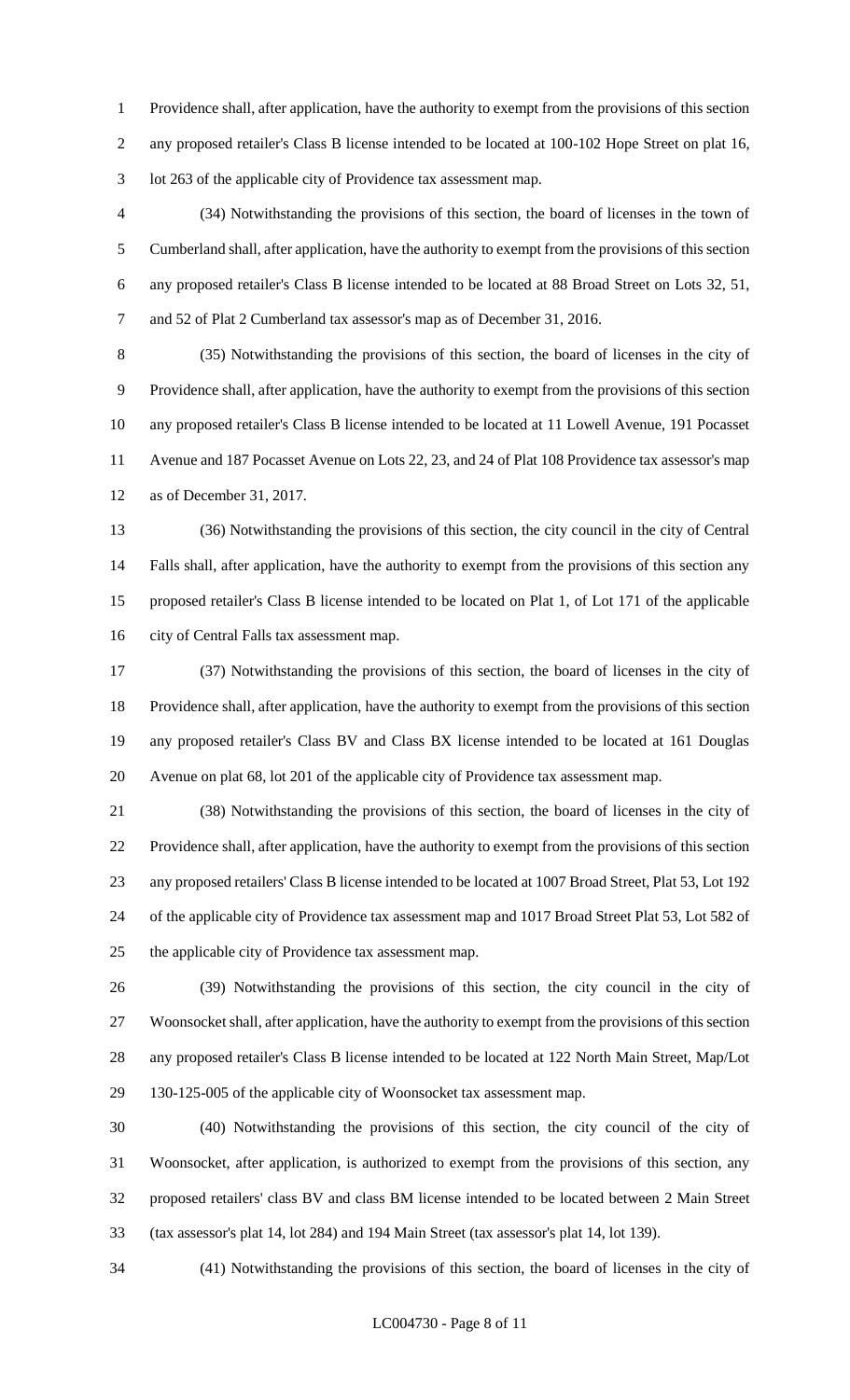Providence shall, after application, have the authority to exempt from the provisions of this section any proposed retailer's Class B license intended to be located at 100-102 Hope Street on plat 16, lot 263 of the applicable city of Providence tax assessment map.

 (34) Notwithstanding the provisions of this section, the board of licenses in the town of Cumberland shall, after application, have the authority to exempt from the provisions of this section any proposed retailer's Class B license intended to be located at 88 Broad Street on Lots 32, 51, and 52 of Plat 2 Cumberland tax assessor's map as of December 31, 2016.

 (35) Notwithstanding the provisions of this section, the board of licenses in the city of Providence shall, after application, have the authority to exempt from the provisions of this section any proposed retailer's Class B license intended to be located at 11 Lowell Avenue, 191 Pocasset Avenue and 187 Pocasset Avenue on Lots 22, 23, and 24 of Plat 108 Providence tax assessor's map as of December 31, 2017.

 (36) Notwithstanding the provisions of this section, the city council in the city of Central Falls shall, after application, have the authority to exempt from the provisions of this section any proposed retailer's Class B license intended to be located on Plat 1, of Lot 171 of the applicable city of Central Falls tax assessment map.

 (37) Notwithstanding the provisions of this section, the board of licenses in the city of Providence shall, after application, have the authority to exempt from the provisions of this section any proposed retailer's Class BV and Class BX license intended to be located at 161 Douglas Avenue on plat 68, lot 201 of the applicable city of Providence tax assessment map.

 (38) Notwithstanding the provisions of this section, the board of licenses in the city of Providence shall, after application, have the authority to exempt from the provisions of this section any proposed retailers' Class B license intended to be located at 1007 Broad Street, Plat 53, Lot 192 of the applicable city of Providence tax assessment map and 1017 Broad Street Plat 53, Lot 582 of the applicable city of Providence tax assessment map.

 (39) Notwithstanding the provisions of this section, the city council in the city of Woonsocket shall, after application, have the authority to exempt from the provisions of this section any proposed retailer's Class B license intended to be located at 122 North Main Street, Map/Lot 130-125-005 of the applicable city of Woonsocket tax assessment map.

 (40) Notwithstanding the provisions of this section, the city council of the city of Woonsocket, after application, is authorized to exempt from the provisions of this section, any proposed retailers' class BV and class BM license intended to be located between 2 Main Street (tax assessor's plat 14, lot 284) and 194 Main Street (tax assessor's plat 14, lot 139).

(41) Notwithstanding the provisions of this section, the board of licenses in the city of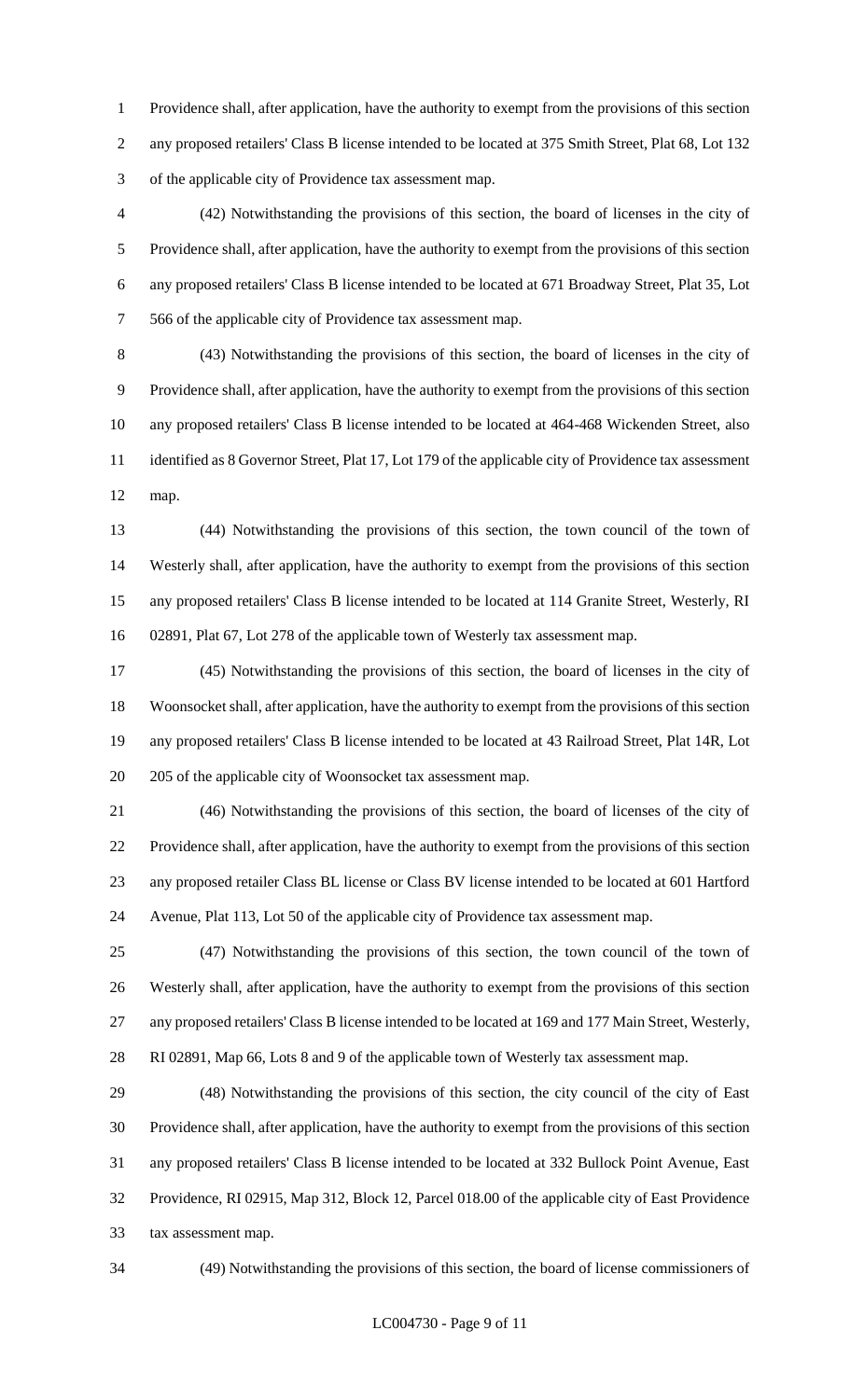Providence shall, after application, have the authority to exempt from the provisions of this section any proposed retailers' Class B license intended to be located at 375 Smith Street, Plat 68, Lot 132 of the applicable city of Providence tax assessment map.

 (42) Notwithstanding the provisions of this section, the board of licenses in the city of Providence shall, after application, have the authority to exempt from the provisions of this section any proposed retailers' Class B license intended to be located at 671 Broadway Street, Plat 35, Lot 566 of the applicable city of Providence tax assessment map.

 (43) Notwithstanding the provisions of this section, the board of licenses in the city of Providence shall, after application, have the authority to exempt from the provisions of this section any proposed retailers' Class B license intended to be located at 464-468 Wickenden Street, also identified as 8 Governor Street, Plat 17, Lot 179 of the applicable city of Providence tax assessment map.

 (44) Notwithstanding the provisions of this section, the town council of the town of Westerly shall, after application, have the authority to exempt from the provisions of this section any proposed retailers' Class B license intended to be located at 114 Granite Street, Westerly, RI 02891, Plat 67, Lot 278 of the applicable town of Westerly tax assessment map.

 (45) Notwithstanding the provisions of this section, the board of licenses in the city of Woonsocket shall, after application, have the authority to exempt from the provisions of this section any proposed retailers' Class B license intended to be located at 43 Railroad Street, Plat 14R, Lot 205 of the applicable city of Woonsocket tax assessment map.

 (46) Notwithstanding the provisions of this section, the board of licenses of the city of Providence shall, after application, have the authority to exempt from the provisions of this section any proposed retailer Class BL license or Class BV license intended to be located at 601 Hartford Avenue, Plat 113, Lot 50 of the applicable city of Providence tax assessment map.

 (47) Notwithstanding the provisions of this section, the town council of the town of Westerly shall, after application, have the authority to exempt from the provisions of this section any proposed retailers' Class B license intended to be located at 169 and 177 Main Street, Westerly, RI 02891, Map 66, Lots 8 and 9 of the applicable town of Westerly tax assessment map.

 (48) Notwithstanding the provisions of this section, the city council of the city of East Providence shall, after application, have the authority to exempt from the provisions of this section any proposed retailers' Class B license intended to be located at 332 Bullock Point Avenue, East Providence, RI 02915, Map 312, Block 12, Parcel 018.00 of the applicable city of East Providence tax assessment map.

(49) Notwithstanding the provisions of this section, the board of license commissioners of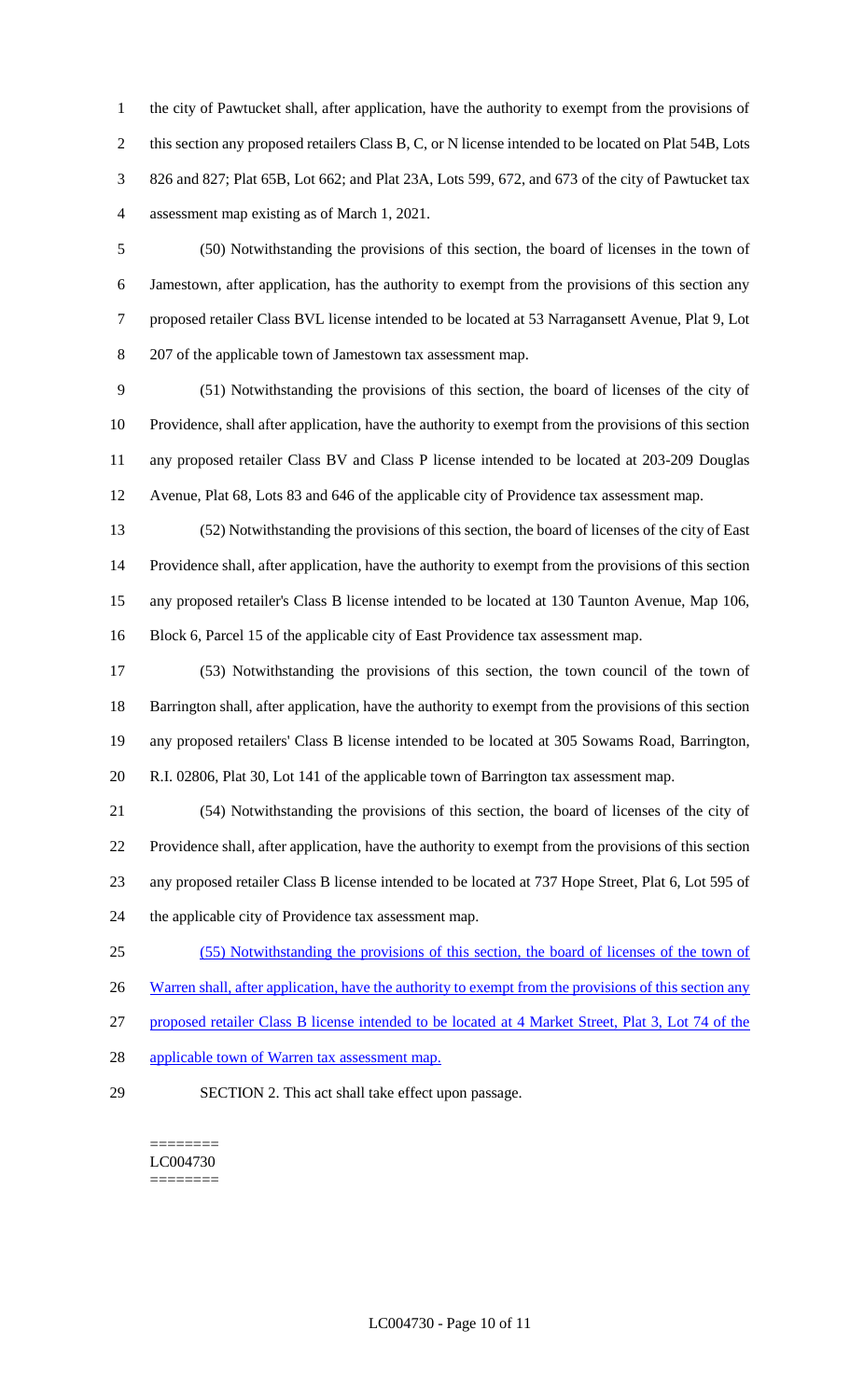the city of Pawtucket shall, after application, have the authority to exempt from the provisions of 2 this section any proposed retailers Class B, C, or N license intended to be located on Plat 54B, Lots 826 and 827; Plat 65B, Lot 662; and Plat 23A, Lots 599, 672, and 673 of the city of Pawtucket tax assessment map existing as of March 1, 2021.

 (50) Notwithstanding the provisions of this section, the board of licenses in the town of Jamestown, after application, has the authority to exempt from the provisions of this section any proposed retailer Class BVL license intended to be located at 53 Narragansett Avenue, Plat 9, Lot 207 of the applicable town of Jamestown tax assessment map.

 (51) Notwithstanding the provisions of this section, the board of licenses of the city of Providence, shall after application, have the authority to exempt from the provisions of this section any proposed retailer Class BV and Class P license intended to be located at 203-209 Douglas Avenue, Plat 68, Lots 83 and 646 of the applicable city of Providence tax assessment map.

 (52) Notwithstanding the provisions of this section, the board of licenses of the city of East Providence shall, after application, have the authority to exempt from the provisions of this section any proposed retailer's Class B license intended to be located at 130 Taunton Avenue, Map 106, Block 6, Parcel 15 of the applicable city of East Providence tax assessment map.

 (53) Notwithstanding the provisions of this section, the town council of the town of Barrington shall, after application, have the authority to exempt from the provisions of this section any proposed retailers' Class B license intended to be located at 305 Sowams Road, Barrington, R.I. 02806, Plat 30, Lot 141 of the applicable town of Barrington tax assessment map.

 (54) Notwithstanding the provisions of this section, the board of licenses of the city of Providence shall, after application, have the authority to exempt from the provisions of this section any proposed retailer Class B license intended to be located at 737 Hope Street, Plat 6, Lot 595 of the applicable city of Providence tax assessment map.

(55) Notwithstanding the provisions of this section, the board of licenses of the town of

26 Warren shall, after application, have the authority to exempt from the provisions of this section any

proposed retailer Class B license intended to be located at 4 Market Street, Plat 3, Lot 74 of the

- 28 applicable town of Warren tax assessment map.
- 

SECTION 2. This act shall take effect upon passage.

======== LC004730 ========